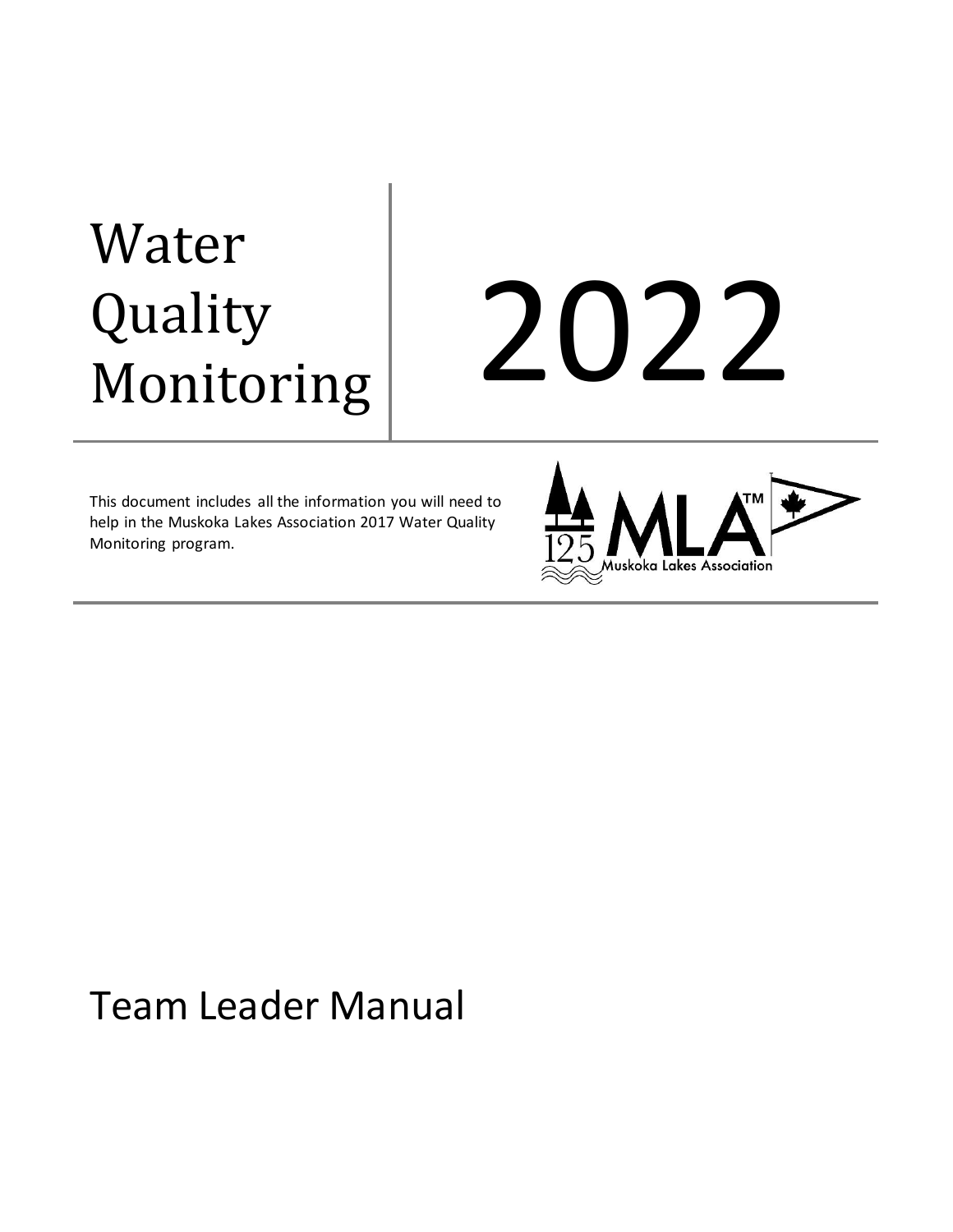# Water Quality Quality 2022<br>Monitoring 2022

This document includes all the information you will need to help in the Muskoka Lakes Association 2017 Water Quality Monitoring program.



## Team Leader Manual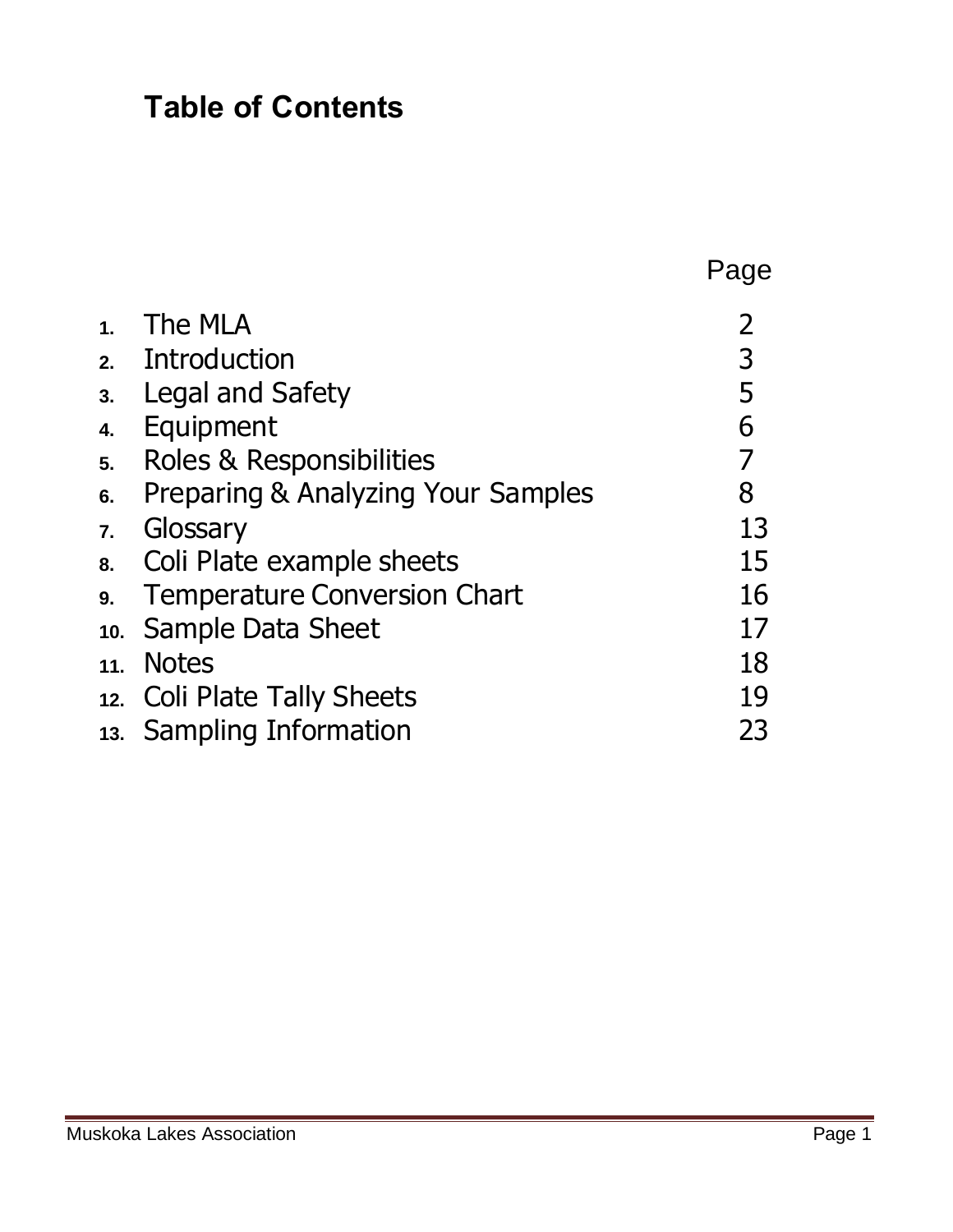### **Table of Contents**

|    |                                     | Page           |
|----|-------------------------------------|----------------|
| 1. | The MLA                             | $\overline{2}$ |
|    | 2. Introduction                     | 3              |
| 3. | <b>Legal and Safety</b>             | 5              |
| 4. | Equipment                           | 6              |
| 5. | Roles & Responsibilities            | $\overline{7}$ |
| 6. | Preparing & Analyzing Your Samples  | 8              |
| 7. | Glossary                            | 13             |
|    | 8. Coli Plate example sheets        | 15             |
| 9. | <b>Temperature Conversion Chart</b> | 16             |
|    | 10. Sample Data Sheet               | 17             |
|    | 11. Notes                           | 18             |
|    | 12. Coli Plate Tally Sheets         | 19             |
|    | 13. Sampling Information            | 23             |
|    |                                     |                |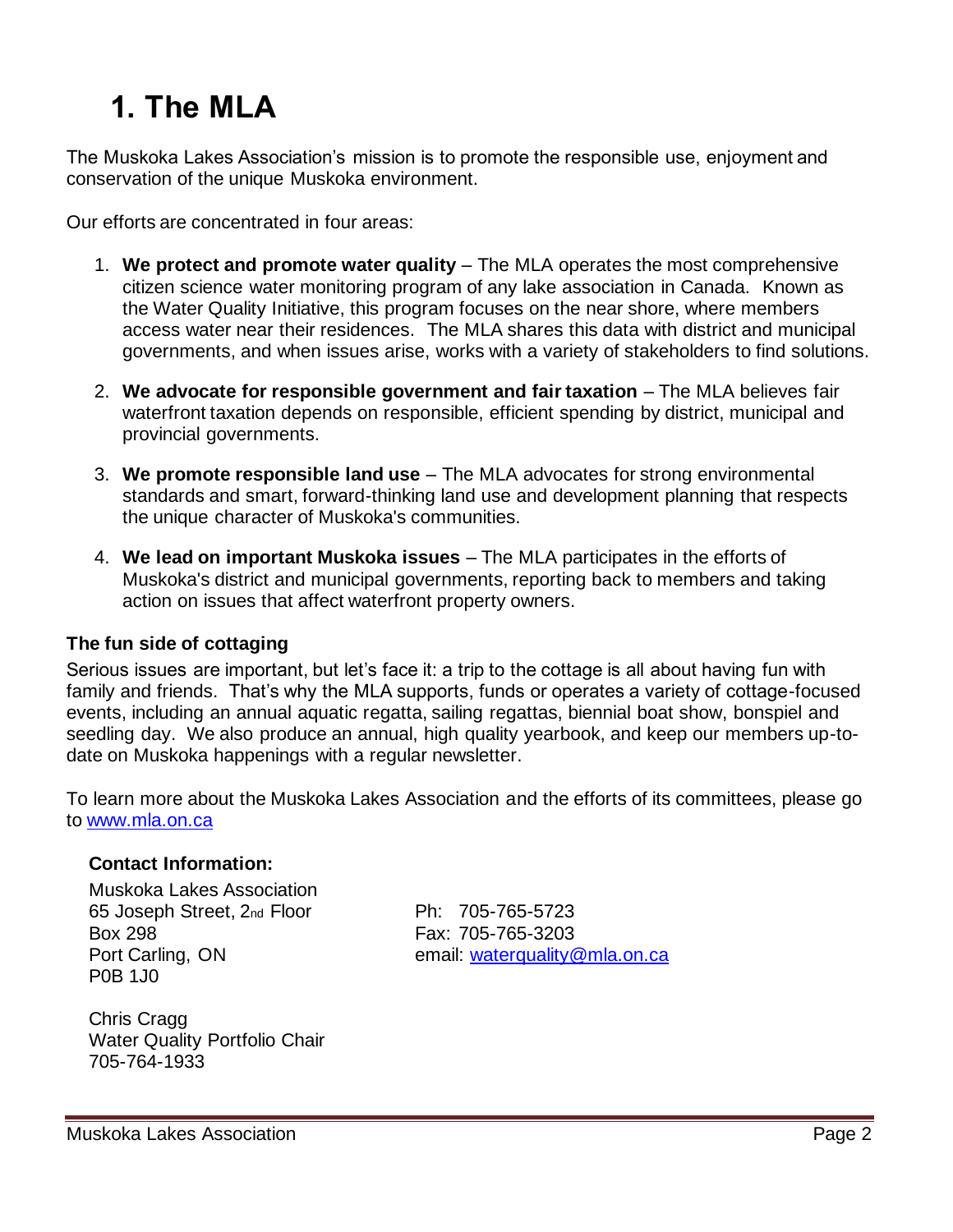### **1. The MLA**

The Muskoka Lakes Association's mission is to promote the responsible use, enjoyment and conservation of the unique Muskoka environment.

Our efforts are concentrated in four areas:

- 1. **We protect and promote water quality** The MLA operates the most comprehensive citizen science water monitoring program of any lake association in Canada. Known as the Water Quality Initiative, this program focuses on the near shore, where members access water near their residences. The MLA shares this data with district and municipal governments, and when issues arise, works with a variety of stakeholders to find solutions.
- 2. **We advocate for responsible government and fair taxation** The MLA believes fair waterfront taxation depends on responsible, efficient spending by district, municipal and provincial governments.
- 3. **We promote responsible land use** The MLA advocates for strong environmental standards and smart, forward-thinking land use and development planning that respects the unique character of Muskoka's communities.
- 4. **We lead on important Muskoka issues** The MLA participates in the efforts of Muskoka's district and municipal governments, reporting back to members and taking action on issues that affect waterfront property owners.

#### **The fun side of cottaging**

Serious issues are important, but let's face it: a trip to the cottage is all about having fun with family and friends. That's why the MLA supports, funds or operates a variety of cottage-focused events, including an annual aquatic regatta, sailing regattas, biennial boat show, bonspiel and seedling day. We also produce an annual, high quality yearbook, and keep our members up-todate on Muskoka happenings with a regular newsletter.

To learn more about the Muskoka Lakes Association and the efforts of its committees, please go to [www.mla.on.ca](http://www.mla.on.ca/)

#### **Contact Information:**

Muskoka Lakes Association 65 Joseph Street, 2nd Floor Ph: 705-765-5723 Box 298 Fax: 705-765-3203 P0B 1J0

Port Carling, ON email: [waterquality@mla.on.ca](mailto:waterquality@mla.on.ca)

Chris Cragg Water Quality Portfolio Chair 705-764-1933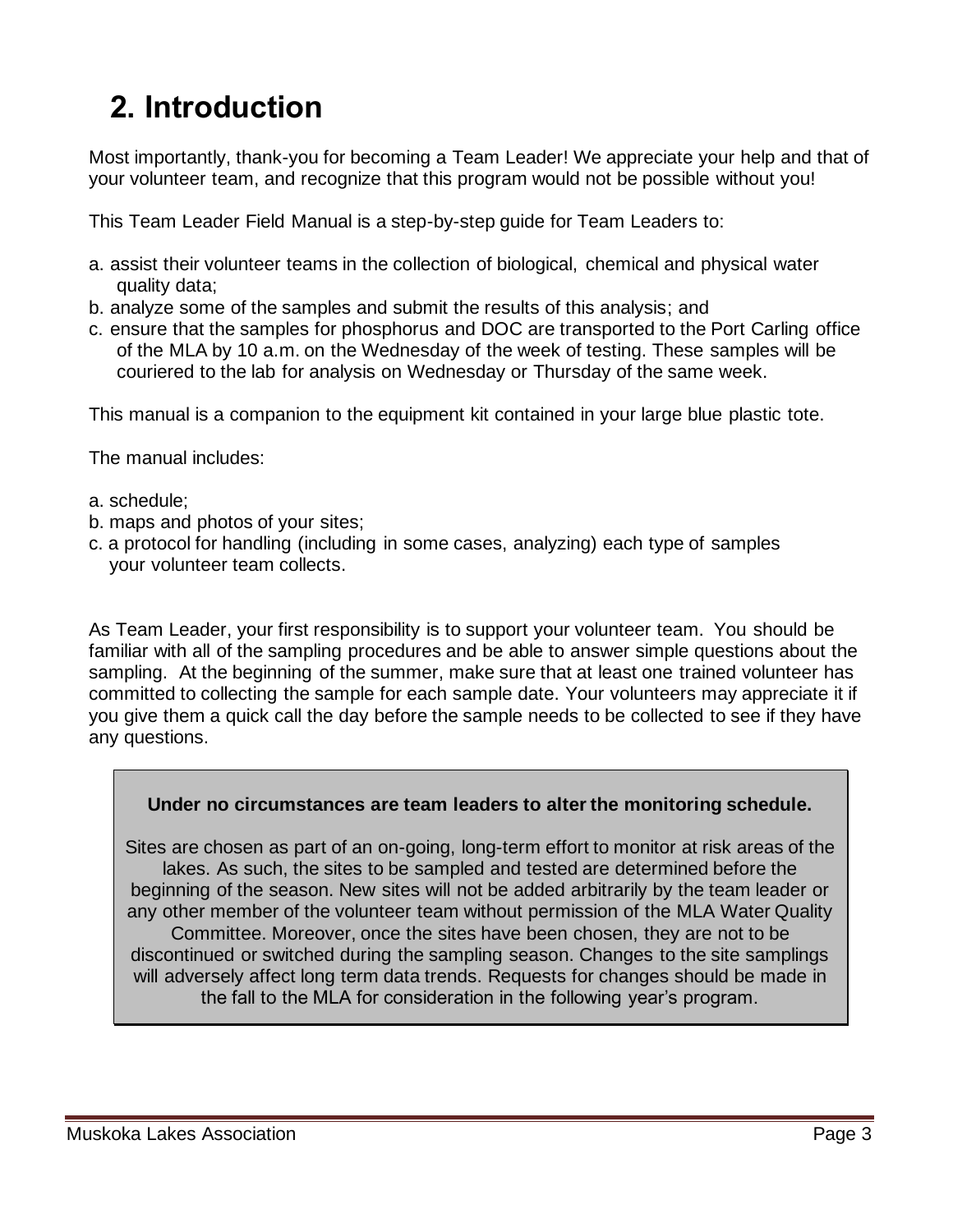### **2. Introduction**

Most importantly, thank-you for becoming a Team Leader! We appreciate your help and that of your volunteer team, and recognize that this program would not be possible without you!

This Team Leader Field Manual is a step-by-step guide for Team Leaders to:

- a. assist their volunteer teams in the collection of biological, chemical and physical water quality data;
- b. analyze some of the samples and submit the results of this analysis; and
- c. ensure that the samples for phosphorus and DOC are transported to the Port Carling office of the MLA by 10 a.m. on the Wednesday of the week of testing. These samples will be couriered to the lab for analysis on Wednesday or Thursday of the same week.

This manual is a companion to the equipment kit contained in your large blue plastic tote.

The manual includes:

- a. schedule;
- b. maps and photos of your sites;
- c. a protocol for handling (including in some cases, analyzing) each type of samples your volunteer team collects.

As Team Leader, your first responsibility is to support your volunteer team. You should be familiar with all of the sampling procedures and be able to answer simple questions about the sampling. At the beginning of the summer, make sure that at least one trained volunteer has committed to collecting the sample for each sample date. Your volunteers may appreciate it if you give them a quick call the day before the sample needs to be collected to see if they have any questions.

#### **Under no circumstances are team leaders to alter the monitoring schedule.**

Sites are chosen as part of an on-going, long-term effort to monitor at risk areas of the lakes. As such, the sites to be sampled and tested are determined before the beginning of the season. New sites will not be added arbitrarily by the team leader or any other member of the volunteer team without permission of the MLA Water Quality Committee. Moreover, once the sites have been chosen, they are not to be discontinued or switched during the sampling season. Changes to the site samplings will adversely affect long term data trends. Requests for changes should be made in the fall to the MLA for consideration in the following year's program.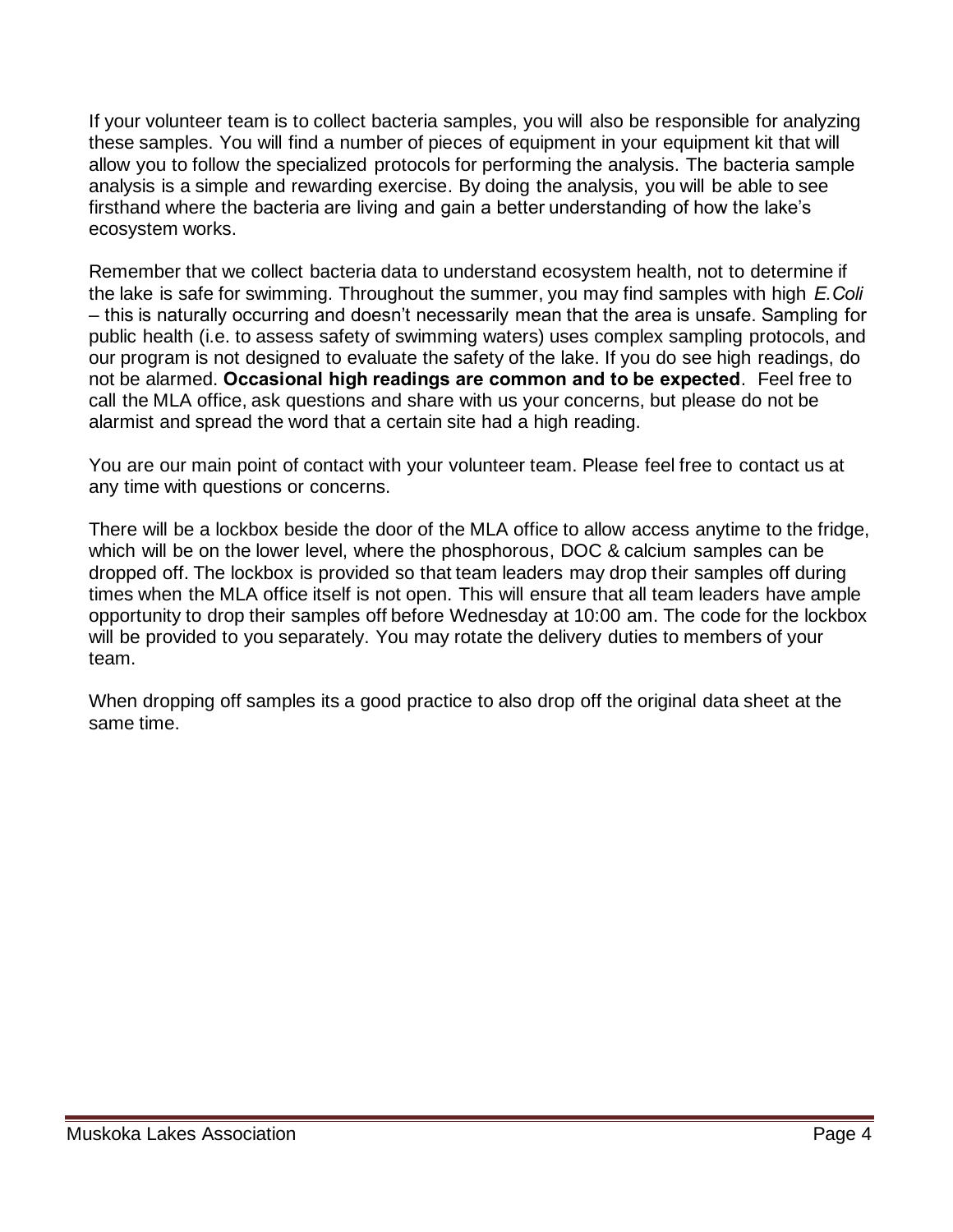If your volunteer team is to collect bacteria samples, you will also be responsible for analyzing these samples. You will find a number of pieces of equipment in your equipment kit that will allow you to follow the specialized protocols for performing the analysis. The bacteria sample analysis is a simple and rewarding exercise. By doing the analysis, you will be able to see firsthand where the bacteria are living and gain a better understanding of how the lake's ecosystem works.

Remember that we collect bacteria data to understand ecosystem health, not to determine if the lake is safe for swimming. Throughout the summer, you may find samples with high *E.Coli* – this is naturally occurring and doesn't necessarily mean that the area is unsafe. Sampling for public health (i.e. to assess safety of swimming waters) uses complex sampling protocols, and our program is not designed to evaluate the safety of the lake. If you do see high readings, do not be alarmed. **Occasional high readings are common and to be expected**. Feel free to call the MLA office, ask questions and share with us your concerns, but please do not be alarmist and spread the word that a certain site had a high reading.

You are our main point of contact with your volunteer team. Please feel free to contact us at any time with questions or concerns.

There will be a lockbox beside the door of the MLA office to allow access anytime to the fridge, which will be on the lower level, where the phosphorous, DOC & calcium samples can be dropped off. The lockbox is provided so that team leaders may drop their samples off during times when the MLA office itself is not open. This will ensure that all team leaders have ample opportunity to drop their samples off before Wednesday at 10:00 am. The code for the lockbox will be provided to you separately. You may rotate the delivery duties to members of your team.

When dropping off samples its a good practice to also drop off the original data sheet at the same time.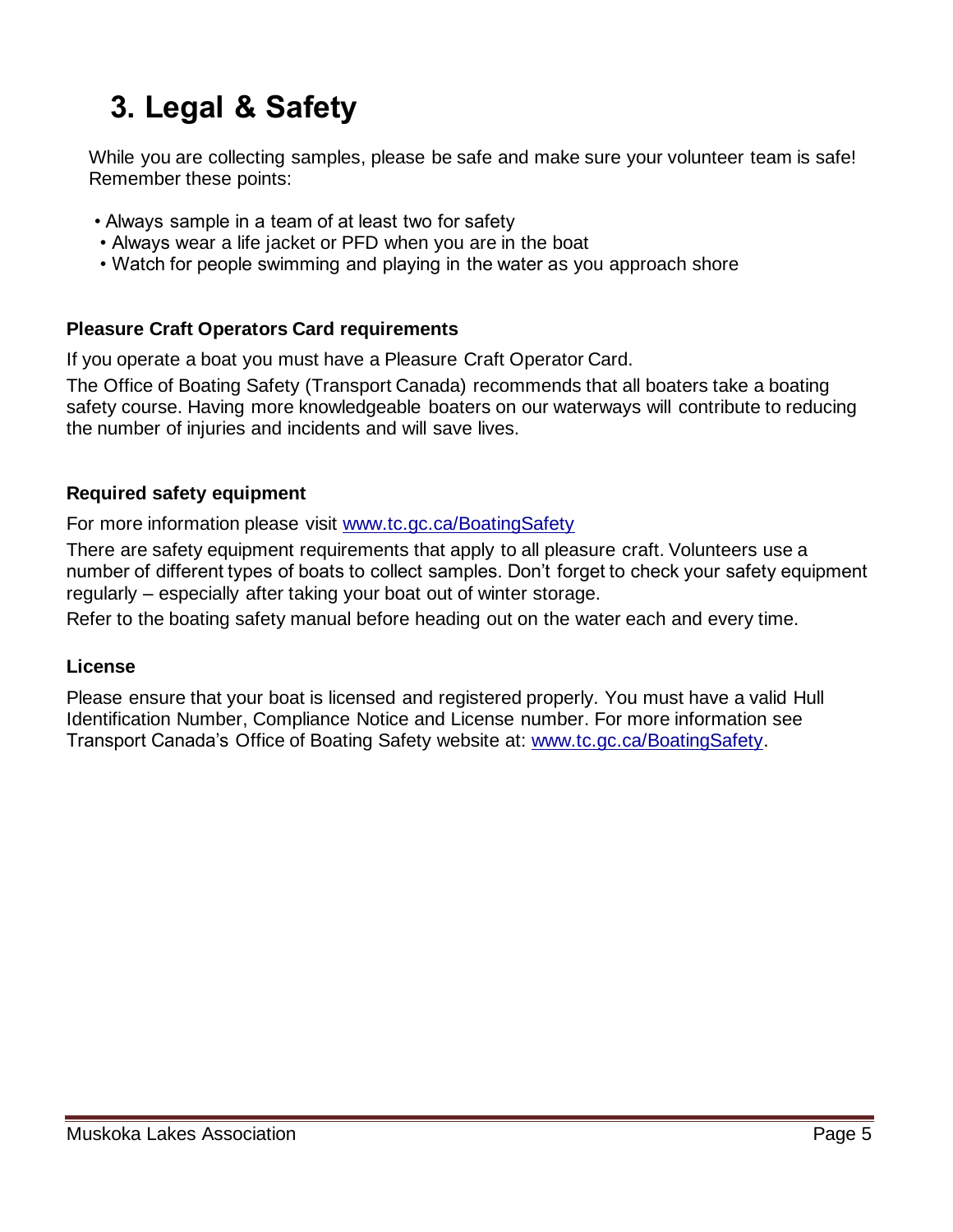### **3. Legal & Safety**

While you are collecting samples, please be safe and make sure your volunteer team is safe! Remember these points:

- Always sample in a team of at least two for safety
- Always wear a life jacket or PFD when you are in the boat
- Watch for people swimming and playing in the water as you approach shore

#### **Pleasure Craft Operators Card requirements**

If you operate a boat you must have a Pleasure Craft Operator Card.

The Office of Boating Safety (Transport Canada) recommends that all boaters take a boating safety course. Having more knowledgeable boaters on our waterways will contribute to reducing the number of injuries and incidents and will save lives.

#### **Required safety equipment**

For more information please visit [www.tc.gc.ca/BoatingSafety](http://www.tc.gc.ca/BoatingSafety)

There are safety equipment requirements that apply to all pleasure craft. Volunteers use a number of different types of boats to collect samples. Don't forget to check your safety equipment regularly – especially after taking your boat out of winter storage.

Refer to the boating safety manual before heading out on the water each and every time.

#### **License**

Please ensure that your boat is licensed and registered properly. You must have a valid Hull Identification Number, Compliance Notice and License number. For more information see Transport Canada's Office of Boating Safety website at: [www.tc.gc.ca/BoatingSafety.](http://www.tc.gc.ca/BoatingSafety)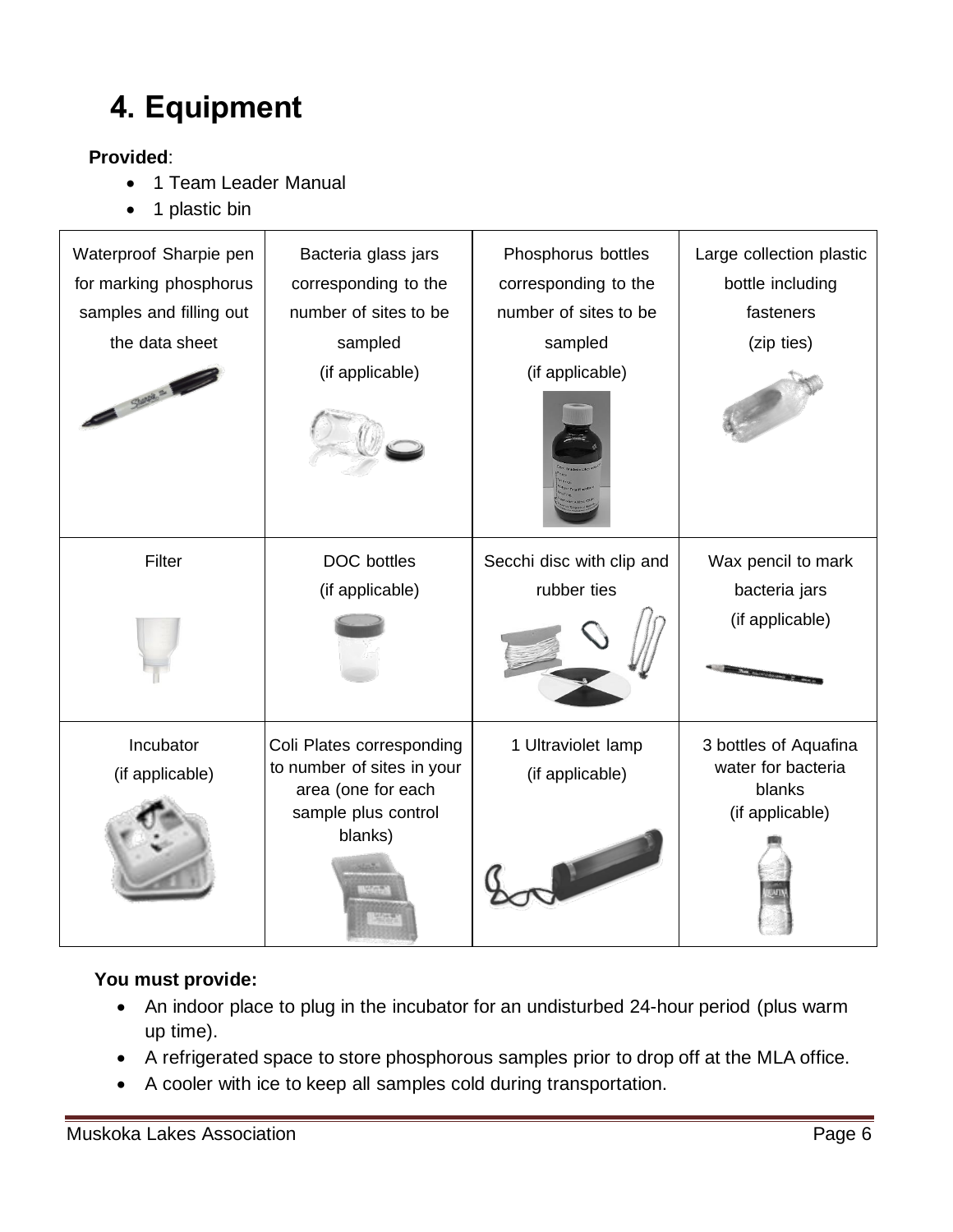### **4. Equipment**

#### **Provided**:

- 1 Team Leader Manual
- 1 plastic bin

| Waterproof Sharpie pen<br>for marking phosphorus<br>samples and filling out<br>the data sheet<br>Sharpa = | Bacteria glass jars<br>corresponding to the<br>number of sites to be<br>sampled<br>(if applicable)              | Phosphorus bottles<br>corresponding to the<br>number of sites to be<br>sampled<br>(if applicable) | Large collection plastic<br>bottle including<br>fasteners<br>(zip ties)  |
|-----------------------------------------------------------------------------------------------------------|-----------------------------------------------------------------------------------------------------------------|---------------------------------------------------------------------------------------------------|--------------------------------------------------------------------------|
| Filter                                                                                                    | <b>DOC</b> bottles<br>(if applicable)                                                                           | Secchi disc with clip and<br>rubber ties                                                          | Wax pencil to mark<br>bacteria jars<br>(if applicable)                   |
| Incubator<br>(if applicable)                                                                              | Coli Plates corresponding<br>to number of sites in your<br>area (one for each<br>sample plus control<br>blanks) | 1 Ultraviolet lamp<br>(if applicable)                                                             | 3 bottles of Aquafina<br>water for bacteria<br>blanks<br>(if applicable) |

#### **You must provide:**

- An indoor place to plug in the incubator for an undisturbed 24-hour period (plus warm up time).
- A refrigerated space to store phosphorous samples prior to drop off at the MLA office.
- A cooler with ice to keep all samples cold during transportation.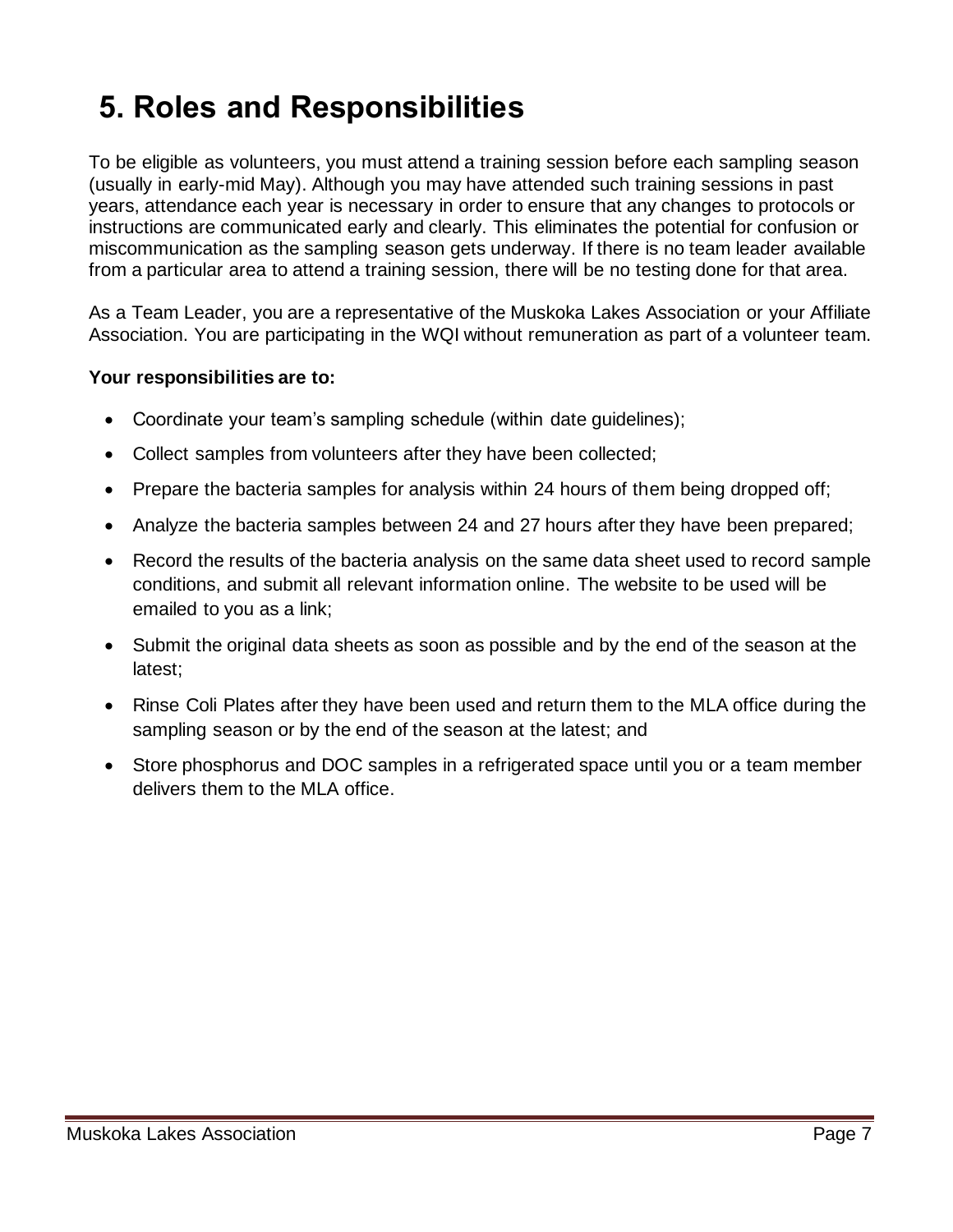### **5. Roles and Responsibilities**

To be eligible as volunteers, you must attend a training session before each sampling season (usually in early-mid May). Although you may have attended such training sessions in past years, attendance each year is necessary in order to ensure that any changes to protocols or instructions are communicated early and clearly. This eliminates the potential for confusion or miscommunication as the sampling season gets underway. If there is no team leader available from a particular area to attend a training session, there will be no testing done for that area.

As a Team Leader, you are a representative of the Muskoka Lakes Association or your Affiliate Association. You are participating in the WQI without remuneration as part of a volunteer team.

#### **Your responsibilities are to:**

- Coordinate your team's sampling schedule (within date guidelines);
- Collect samples from volunteers after they have been collected;
- Prepare the bacteria samples for analysis within 24 hours of them being dropped off;
- Analyze the bacteria samples between 24 and 27 hours after they have been prepared;
- Record the results of the bacteria analysis on the same data sheet used to record sample conditions, and submit all relevant information online. The website to be used will be emailed to you as a link;
- Submit the original data sheets as soon as possible and by the end of the season at the latest;
- Rinse Coli Plates after they have been used and return them to the MLA office during the sampling season or by the end of the season at the latest; and
- Store phosphorus and DOC samples in a refrigerated space until you or a team member delivers them to the MLA office.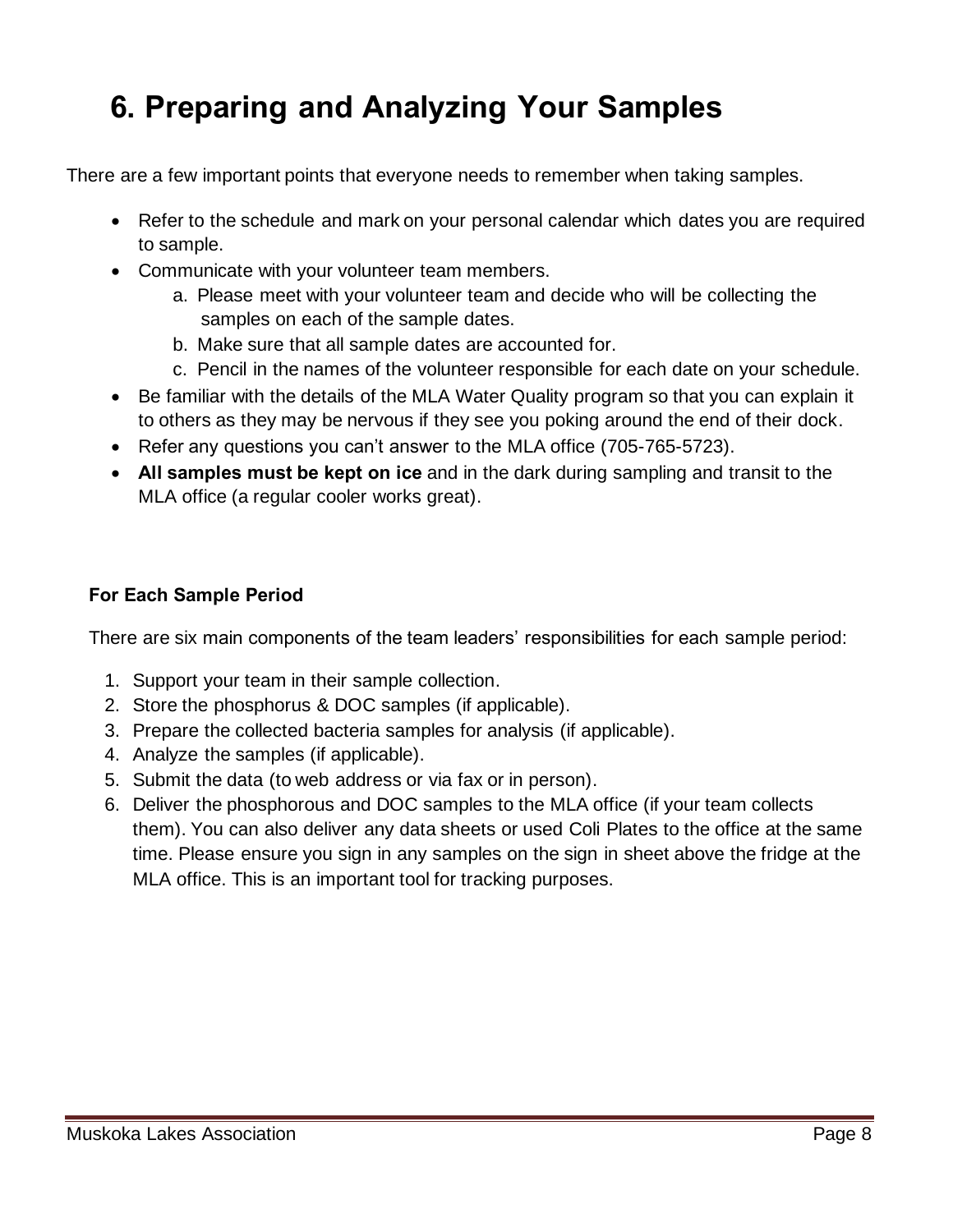### **6. Preparing and Analyzing Your Samples**

There are a few important points that everyone needs to remember when taking samples.

- Refer to the schedule and mark on your personal calendar which dates you are required to sample.
- Communicate with your volunteer team members.
	- a. Please meet with your volunteer team and decide who will be collecting the samples on each of the sample dates.
	- b. Make sure that all sample dates are accounted for.
	- c. Pencil in the names of the volunteer responsible for each date on your schedule.
- Be familiar with the details of the MLA Water Quality program so that you can explain it to others as they may be nervous if they see you poking around the end of their dock.
- Refer any questions you can't answer to the MLA office (705-765-5723).
- **All samples must be kept on ice** and in the dark during sampling and transit to the MLA office (a regular cooler works great).

#### **For Each Sample Period**

There are six main components of the team leaders' responsibilities for each sample period:

- 1. Support your team in their sample collection.
- 2. Store the phosphorus & DOC samples (if applicable).
- 3. Prepare the collected bacteria samples for analysis (if applicable).
- 4. Analyze the samples (if applicable).
- 5. Submit the data (to web address or via fax or in person).
- 6. Deliver the phosphorous and DOC samples to the MLA office (if your team collects them). You can also deliver any data sheets or used Coli Plates to the office at the same time. Please ensure you sign in any samples on the sign in sheet above the fridge at the MLA office. This is an important tool for tracking purposes.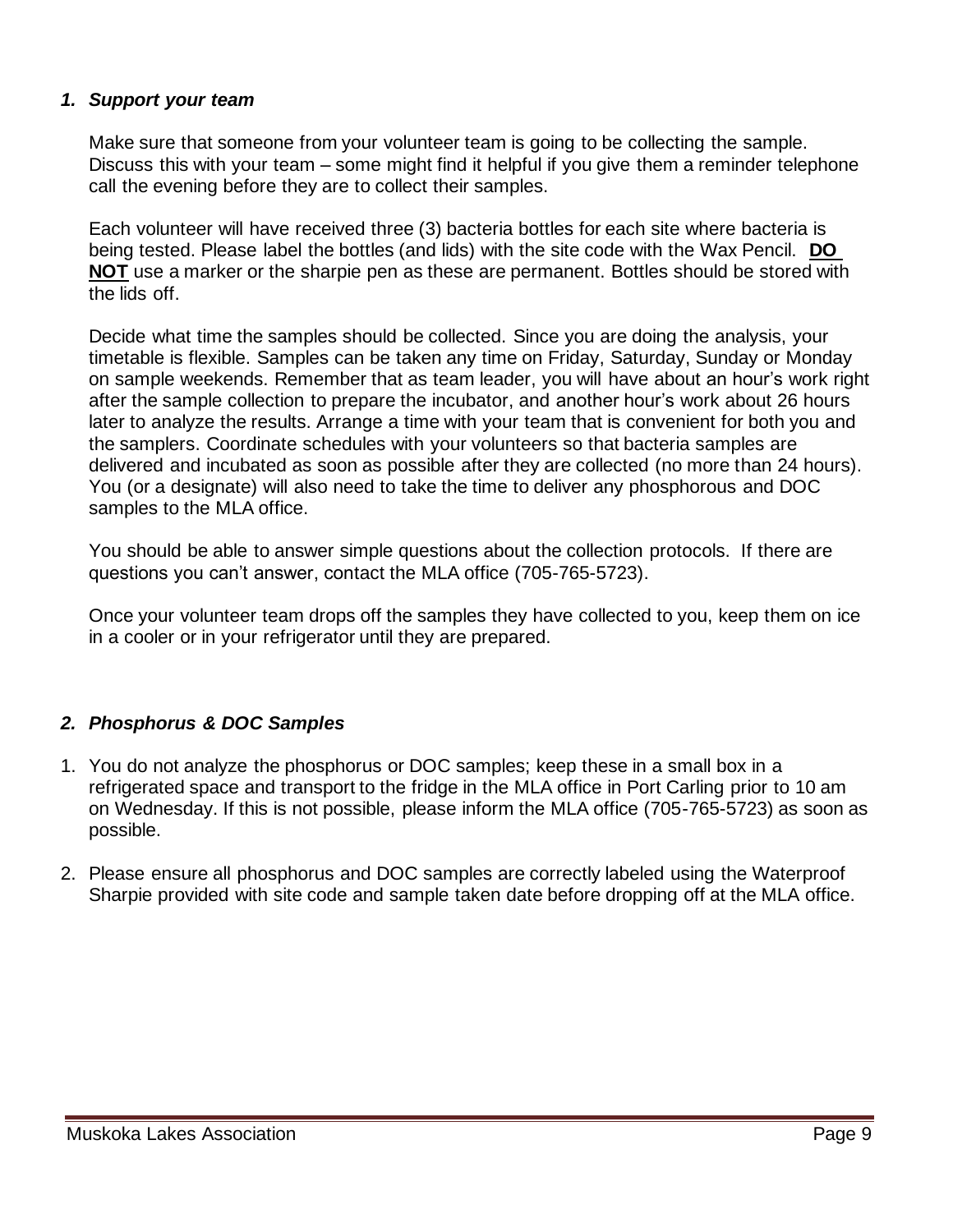#### *1. Support your team*

Make sure that someone from your volunteer team is going to be collecting the sample. Discuss this with your team – some might find it helpful if you give them a reminder telephone call the evening before they are to collect their samples.

Each volunteer will have received three (3) bacteria bottles for each site where bacteria is being tested. Please label the bottles (and lids) with the site code with the Wax Pencil. **DO NOT** use a marker or the sharpie pen as these are permanent. Bottles should be stored with the lids off.

Decide what time the samples should be collected. Since you are doing the analysis, your timetable is flexible. Samples can be taken any time on Friday, Saturday, Sunday or Monday on sample weekends. Remember that as team leader, you will have about an hour's work right after the sample collection to prepare the incubator, and another hour's work about 26 hours later to analyze the results. Arrange a time with your team that is convenient for both you and the samplers. Coordinate schedules with your volunteers so that bacteria samples are delivered and incubated as soon as possible after they are collected (no more than 24 hours). You (or a designate) will also need to take the time to deliver any phosphorous and DOC samples to the MLA office.

You should be able to answer simple questions about the collection protocols. If there are questions you can't answer, contact the MLA office (705-765-5723).

Once your volunteer team drops off the samples they have collected to you, keep them on ice in a cooler or in your refrigerator until they are prepared.

#### *2. Phosphorus & DOC Samples*

- 1. You do not analyze the phosphorus or DOC samples; keep these in a small box in a refrigerated space and transport to the fridge in the MLA office in Port Carling prior to 10 am on Wednesday. If this is not possible, please inform the MLA office (705-765-5723) as soon as possible.
- 2. Please ensure all phosphorus and DOC samples are correctly labeled using the Waterproof Sharpie provided with site code and sample taken date before dropping off at the MLA office.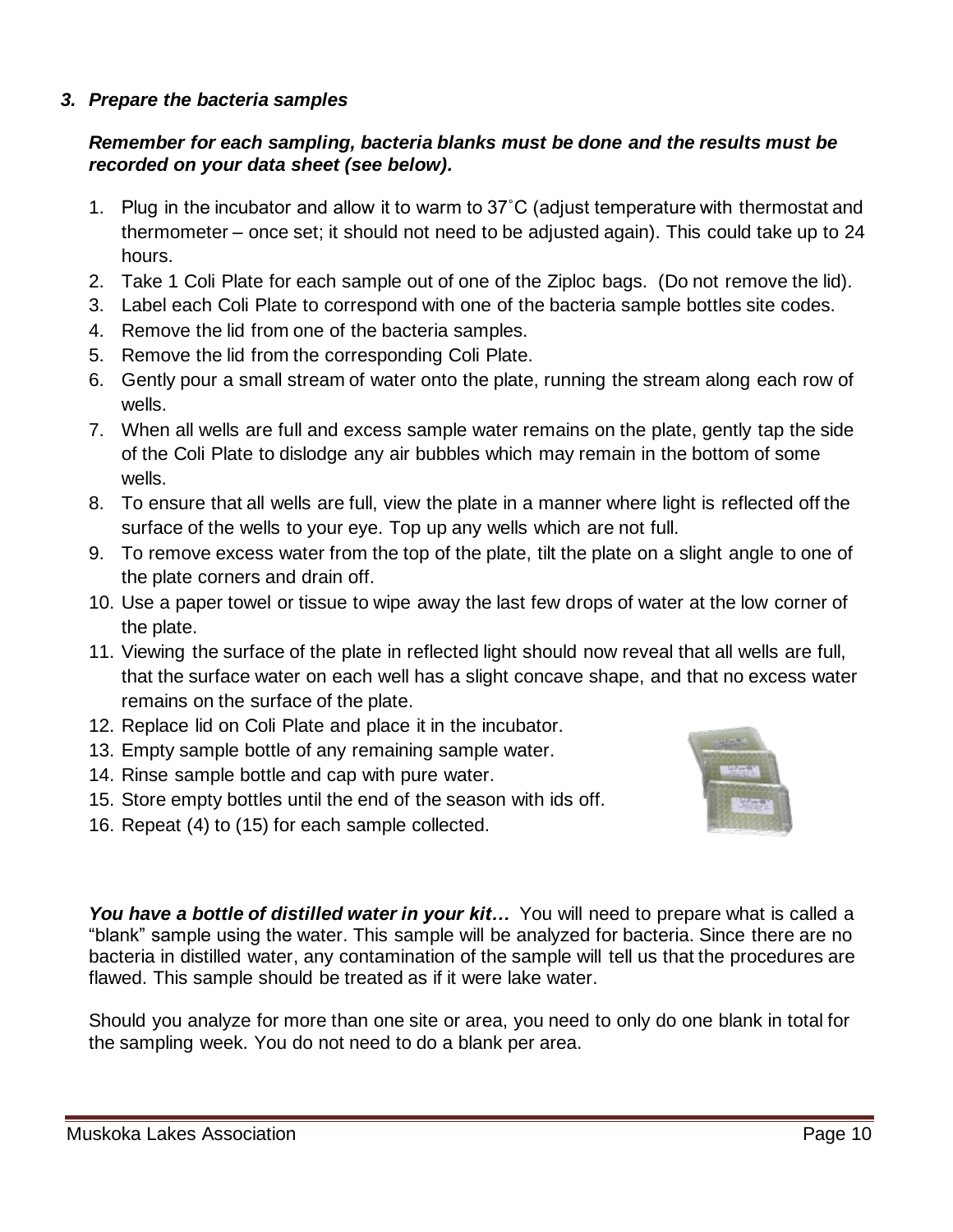#### *3. Prepare the bacteria samples*

#### *Remember for each sampling, bacteria blanks must be done and the results must be recorded on your data sheet (see below).*

- 1. Plug in the incubator and allow it to warm to 37˚C (adjust temperature with thermostat and thermometer – once set; it should not need to be adjusted again). This could take up to 24 hours.
- 2. Take 1 Coli Plate for each sample out of one of the Ziploc bags. (Do not remove the lid).
- 3. Label each Coli Plate to correspond with one of the bacteria sample bottles site codes.
- 4. Remove the lid from one of the bacteria samples.
- 5. Remove the lid from the corresponding Coli Plate.
- 6. Gently pour a small stream of water onto the plate, running the stream along each row of wells.
- 7. When all wells are full and excess sample water remains on the plate, gently tap the side of the Coli Plate to dislodge any air bubbles which may remain in the bottom of some wells.
- 8. To ensure that all wells are full, view the plate in a manner where light is reflected off the surface of the wells to your eye. Top up any wells which are not full.
- 9. To remove excess water from the top of the plate, tilt the plate on a slight angle to one of the plate corners and drain off.
- 10. Use a paper towel or tissue to wipe away the last few drops of water at the low corner of the plate.
- 11. Viewing the surface of the plate in reflected light should now reveal that all wells are full, that the surface water on each well has a slight concave shape, and that no excess water remains on the surface of the plate.
- 12. Replace lid on Coli Plate and place it in the incubator.
- 13. Empty sample bottle of any remaining sample water.
- 14. Rinse sample bottle and cap with pure water.
- 15. Store empty bottles until the end of the season with ids off.
- 16. Repeat (4) to (15) for each sample collected.



You have a bottle of distilled water *in your kit...* You will need to prepare what is called a "blank" sample using the water. This sample will be analyzed for bacteria. Since there are no bacteria in distilled water, any contamination of the sample will tell us that the procedures are flawed. This sample should be treated as if it were lake water.

Should you analyze for more than one site or area, you need to only do one blank in total for the sampling week. You do not need to do a blank per area.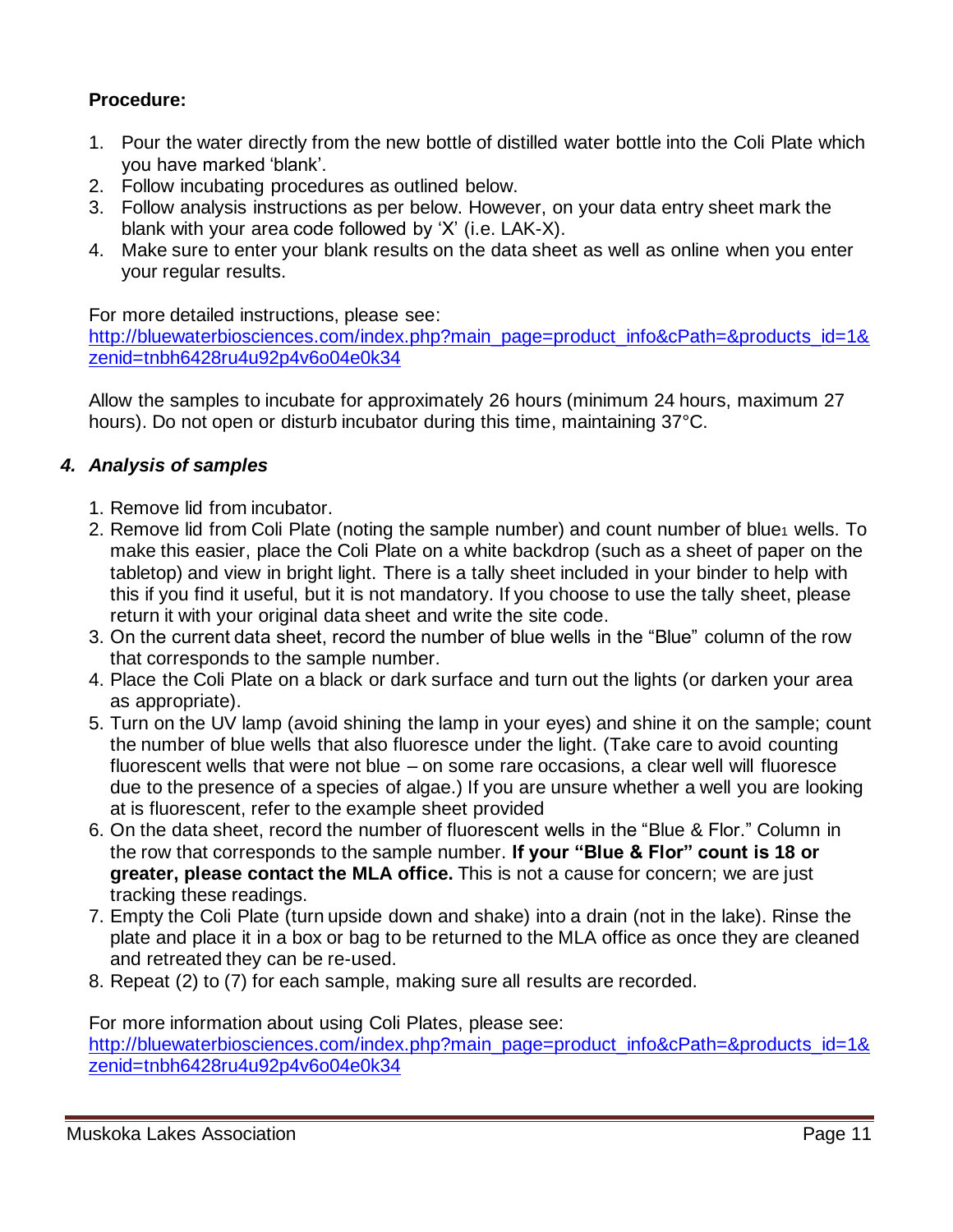#### **Procedure:**

- 1. Pour the water directly from the new bottle of distilled water bottle into the Coli Plate which you have marked 'blank'.
- 2. Follow incubating procedures as outlined below.
- 3. Follow analysis instructions as per below. However, on your data entry sheet mark the blank with your area code followed by 'X' (i.e. LAK-X).
- 4. Make sure to enter your blank results on the data sheet as well as online when you enter your regular results.

For more detailed instructions, please see:

[http://bluewaterbiosciences.com/index.php?main\\_page=product\\_info&cPath=&products\\_id=1&](http://bluewaterbiosciences.com/index.php?main_page=product_info&cPath=&products_id=1&zenid=tnbh6428ru4u92p4v6o04e0k34) [zenid=tnbh6428ru4u92p4v6o04e0k34](http://bluewaterbiosciences.com/index.php?main_page=product_info&cPath=&products_id=1&zenid=tnbh6428ru4u92p4v6o04e0k34) 

Allow the samples to incubate for approximately 26 hours (minimum 24 hours, maximum 27 hours). Do not open or disturb incubator during this time, maintaining 37°C.

#### *4. Analysis of samples*

- 1. Remove lid from incubator.
- 2. Remove lid from Coli Plate (noting the sample number) and count number of blue1 wells. To make this easier, place the Coli Plate on a white backdrop (such as a sheet of paper on the tabletop) and view in bright light. There is a tally sheet included in your binder to help with this if you find it useful, but it is not mandatory. If you choose to use the tally sheet, please return it with your original data sheet and write the site code.
- 3. On the current data sheet, record the number of blue wells in the "Blue" column of the row that corresponds to the sample number.
- 4. Place the Coli Plate on a black or dark surface and turn out the lights (or darken your area as appropriate).
- 5. Turn on the UV lamp (avoid shining the lamp in your eyes) and shine it on the sample; count the number of blue wells that also fluoresce under the light. (Take care to avoid counting fluorescent wells that were not blue – on some rare occasions, a clear well will fluoresce due to the presence of a species of algae.) If you are unsure whether a well you are looking at is fluorescent, refer to the example sheet provided
- 6. On the data sheet, record the number of fluorescent wells in the "Blue & Flor." Column in the row that corresponds to the sample number. **If your "Blue & Flor" count is 18 or greater, please contact the MLA office.** This is not a cause for concern; we are just tracking these readings.
- 7. Empty the Coli Plate (turn upside down and shake) into a drain (not in the lake). Rinse the plate and place it in a box or bag to be returned to the MLA office as once they are cleaned and retreated they can be re-used.
- 8. Repeat (2) to (7) for each sample, making sure all results are recorded.

For more information about using Coli Plates, please see: [http://bluewaterbiosciences.com/index.php?main\\_page=product\\_info&cPath=&products\\_id=1&](http://bluewaterbiosciences.com/index.php?main_page=product_info&cPath=&products_id=1&zenid=tnbh6428ru4u92p4v6o04e0k34) [zenid=tnbh6428ru4u92p4v6o04e0k34](http://bluewaterbiosciences.com/index.php?main_page=product_info&cPath=&products_id=1&zenid=tnbh6428ru4u92p4v6o04e0k34)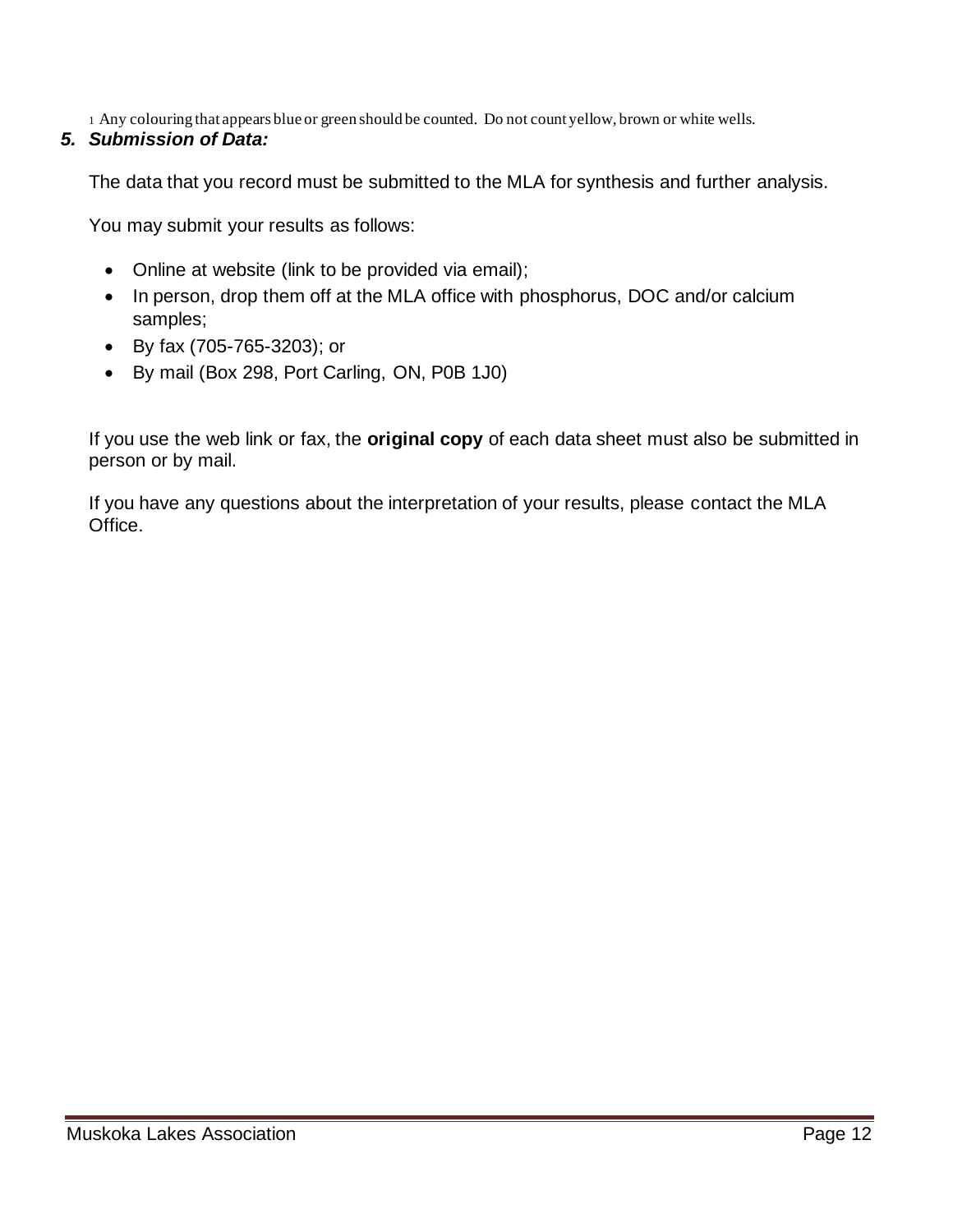1 Any colouring that appears blue or green should be counted. Do not count yellow, brown or white wells.

#### *5. Submission of Data:*

The data that you record must be submitted to the MLA for synthesis and further analysis.

You may submit your results as follows:

- Online at website (link to be provided via email);
- In person, drop them off at the MLA office with phosphorus, DOC and/or calcium samples;
- By fax (705-765-3203); or
- By mail (Box 298, Port Carling, ON, P0B 1J0)

If you use the web link or fax, the **original copy** of each data sheet must also be submitted in person or by mail.

If you have any questions about the interpretation of your results, please contact the MLA Office.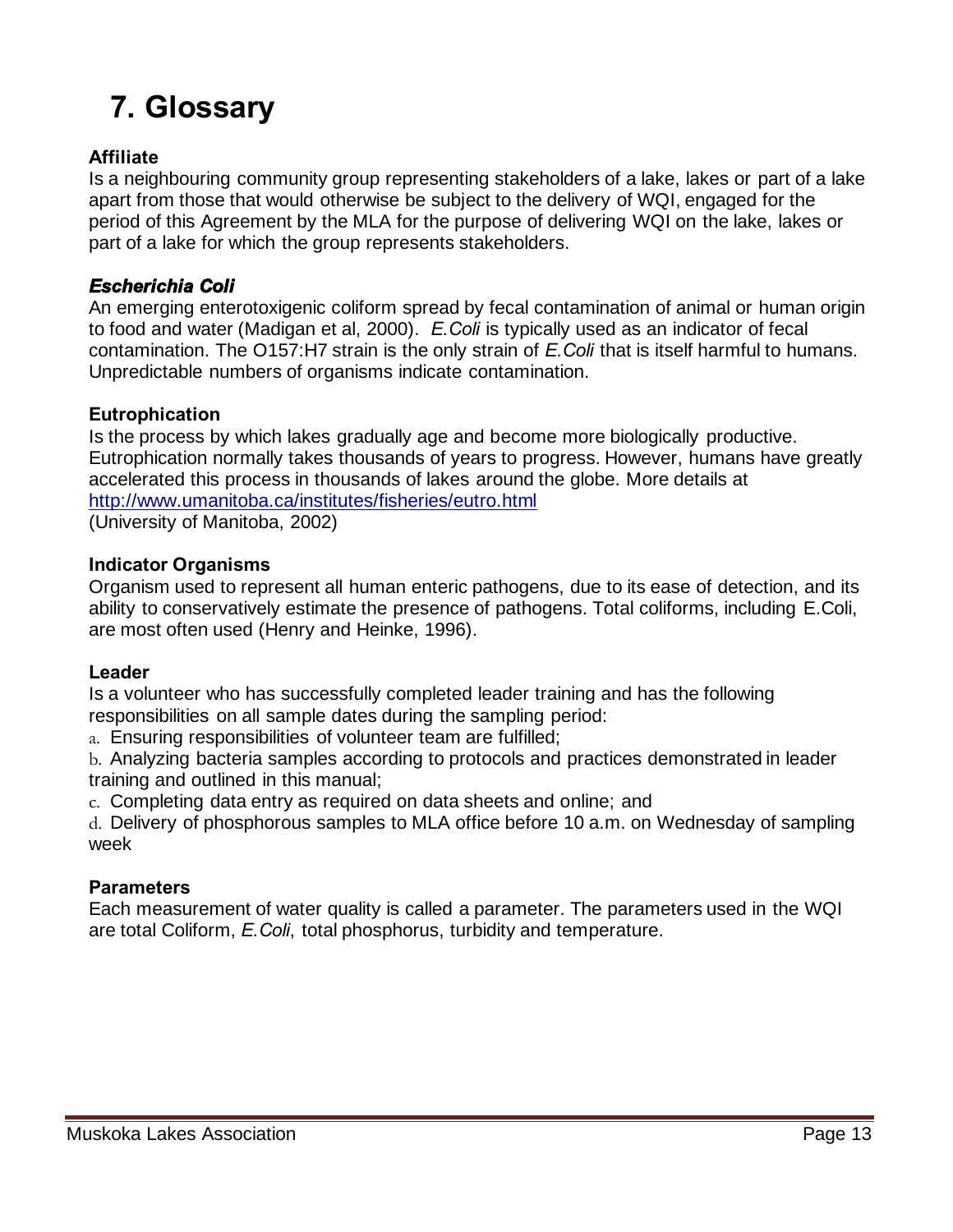### **7. Glossary**

#### **Affiliate**

Is a neighbouring community group representing stakeholders of a lake, lakes or part of a lake apart from those that would otherwise be subject to the delivery of WQI, engaged for the period of this Agreement by the MLA for the purpose of delivering WQI on the lake, lakes or part of a lake for which the group represents stakeholders.

#### *Escherichia Coli*

An emerging enterotoxigenic coliform spread by fecal contamination of animal or human origin to food and water (Madigan et al, 2000). *E.Coli* is typically used as an indicator of fecal contamination. The O157:H7 strain is the only strain of *E.Coli* that is itself harmful to humans. Unpredictable numbers of organisms indicate contamination.

#### **Eutrophication**

Is the process by which lakes gradually age and become more biologically productive. Eutrophication normally takes thousands of years to progress. However, humans have greatly accelerated this process in thousands of lakes around the globe. More details at <http://www.umanitoba.ca/institutes/fisheries/eutro.html>

(University of Manitoba, 2002)

#### **Indicator Organisms**

Organism used to represent all human enteric pathogens, due to its ease of detection, and its ability to conservatively estimate the presence of pathogens. Total coliforms, including E.Coli, are most often used (Henry and Heinke, 1996).

#### **Leader**

Is a volunteer who has successfully completed leader training and has the following responsibilities on all sample dates during the sampling period:

a. Ensuring responsibilities of volunteer team are fulfilled;

b. Analyzing bacteria samples according to protocols and practices demonstrated in leader training and outlined in this manual;

c. Completing data entry as required on data sheets and online; and

d. Delivery of phosphorous samples to MLA office before 10 a.m. on Wednesday of sampling week

#### **Parameters**

Each measurement of water quality is called a parameter. The parameters used in the WQI are total Coliform, *E.Coli*, total phosphorus, turbidity and temperature.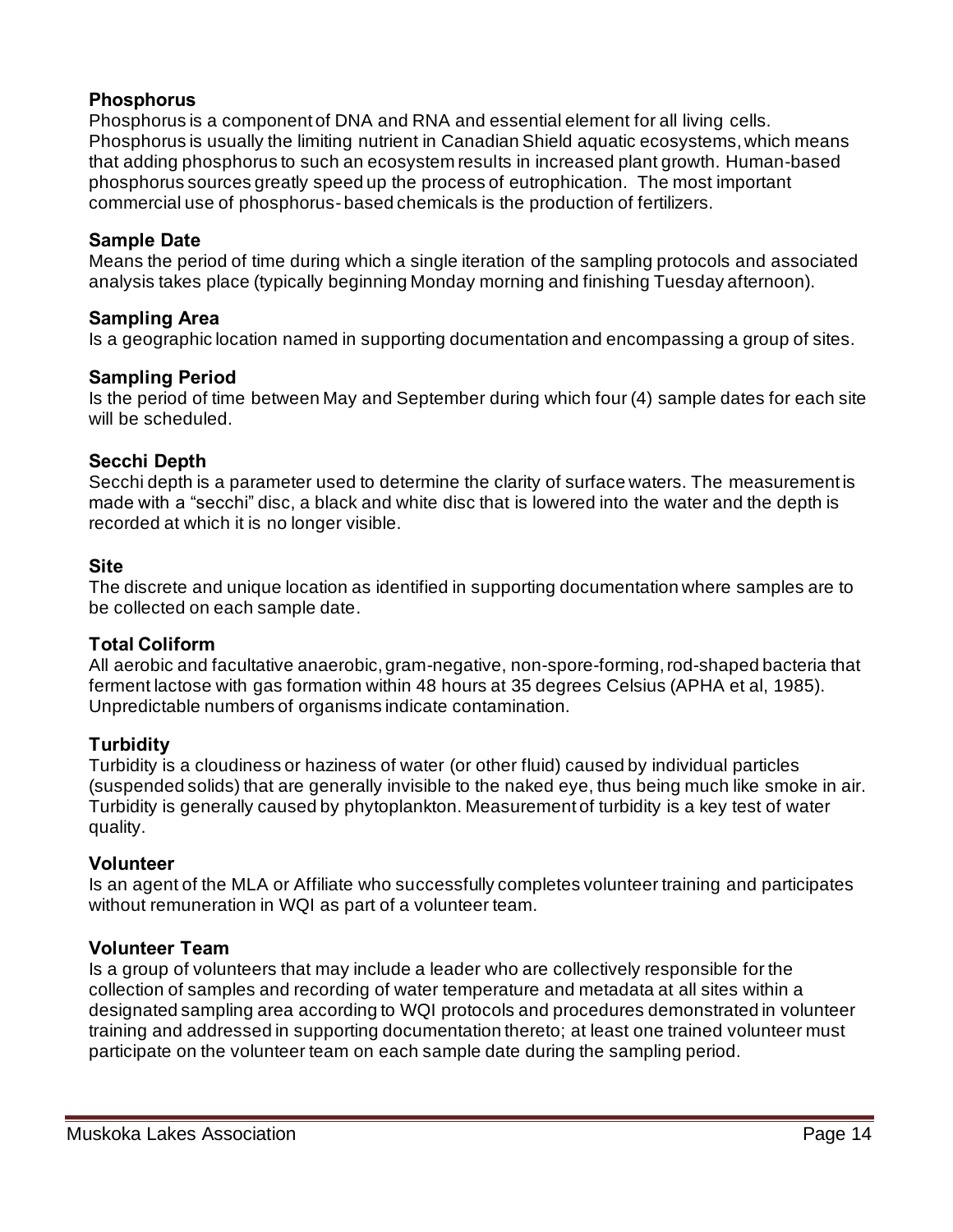#### **Phosphorus**

Phosphorus is a component of DNA and RNA and essential element for all living cells. Phosphorus is usually the limiting nutrient in Canadian Shield aquatic ecosystems, which means that adding phosphorus to such an ecosystem results in increased plant growth. Human-based phosphorus sources greatly speed up the process of eutrophication. The most important commercial use of phosphorus- based chemicals is the production of fertilizers.

#### **Sample Date**

Means the period of time during which a single iteration of the sampling protocols and associated analysis takes place (typically beginning Monday morning and finishing Tuesday afternoon).

#### **Sampling Area**

Is a geographic location named in supporting documentation and encompassing a group of sites.

#### **Sampling Period**

Is the period of time between May and September during which four (4) sample dates for each site will be scheduled.

#### **Secchi Depth**

Secchi depth is a parameter used to determine the clarity of surface waters. The measurement is made with a "secchi" disc, a black and white disc that is lowered into the water and the depth is recorded at which it is no longer visible.

#### **Site**

The discrete and unique location as identified in supporting documentation where samples are to be collected on each sample date.

#### **Total Coliform**

All aerobic and facultative anaerobic, gram-negative, non-spore-forming, rod-shaped bacteria that ferment lactose with gas formation within 48 hours at 35 degrees Celsius (APHA et al, 1985). Unpredictable numbers of organisms indicate contamination.

#### **Turbidity**

Turbidity is a cloudiness or haziness of water (or other fluid) caused by individual particles (suspended solids) that are generally invisible to the naked eye, thus being much like smoke in air. Turbidity is generally caused by phytoplankton. Measurement of turbidity is a key test of water quality.

#### **Volunteer**

Is an agent of the MLA or Affiliate who successfully completes volunteer training and participates without remuneration in WQI as part of a volunteer team.

#### **Volunteer Team**

Is a group of volunteers that may include a leader who are collectively responsible for the collection of samples and recording of water temperature and metadata at all sites within a designated sampling area according to WQI protocols and procedures demonstrated in volunteer training and addressed in supporting documentation thereto; at least one trained volunteer must participate on the volunteer team on each sample date during the sampling period.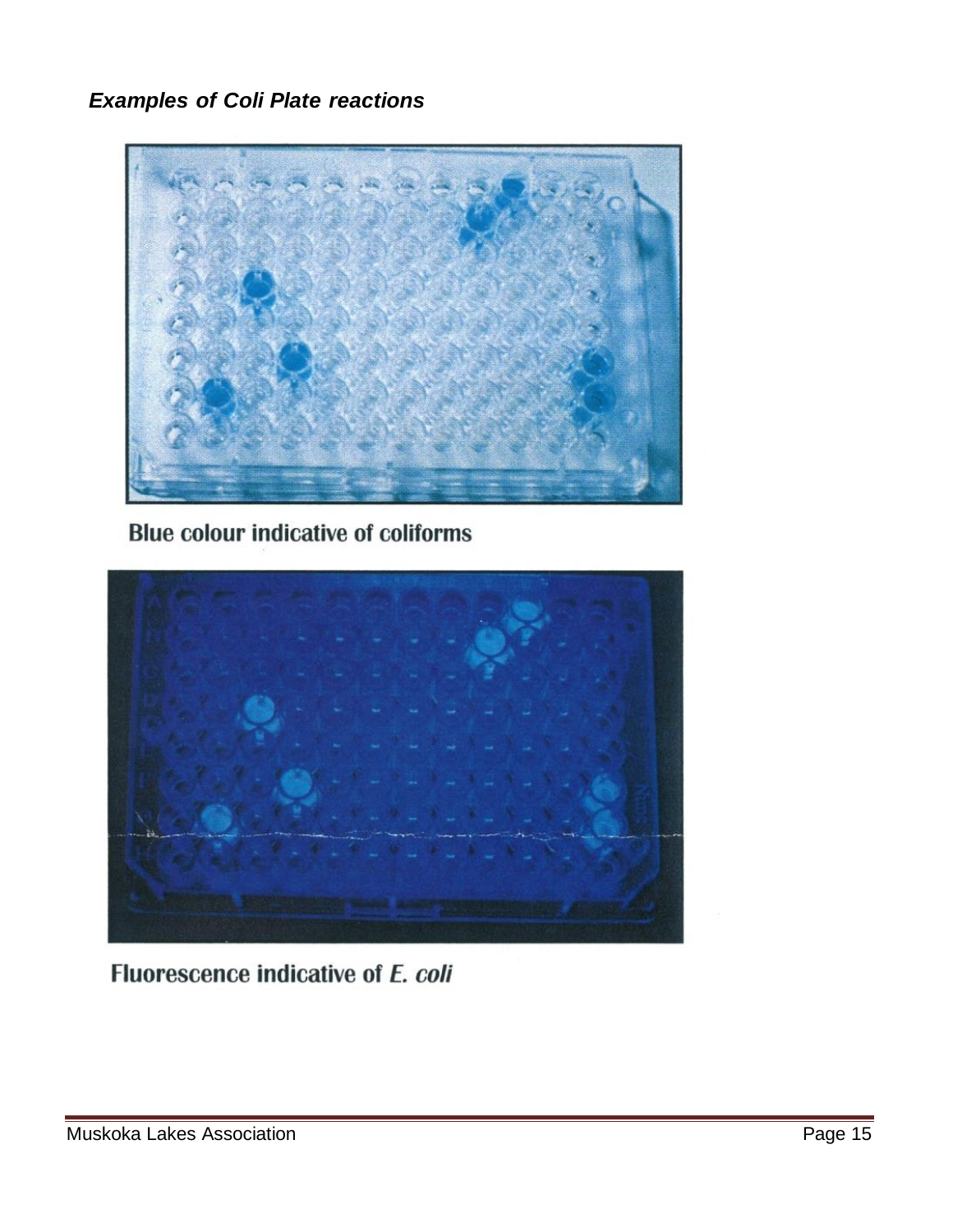*Examples of Coli Plate reactions*



**Blue colour indicative of coliforms** 



Fluorescence indicative of E. coli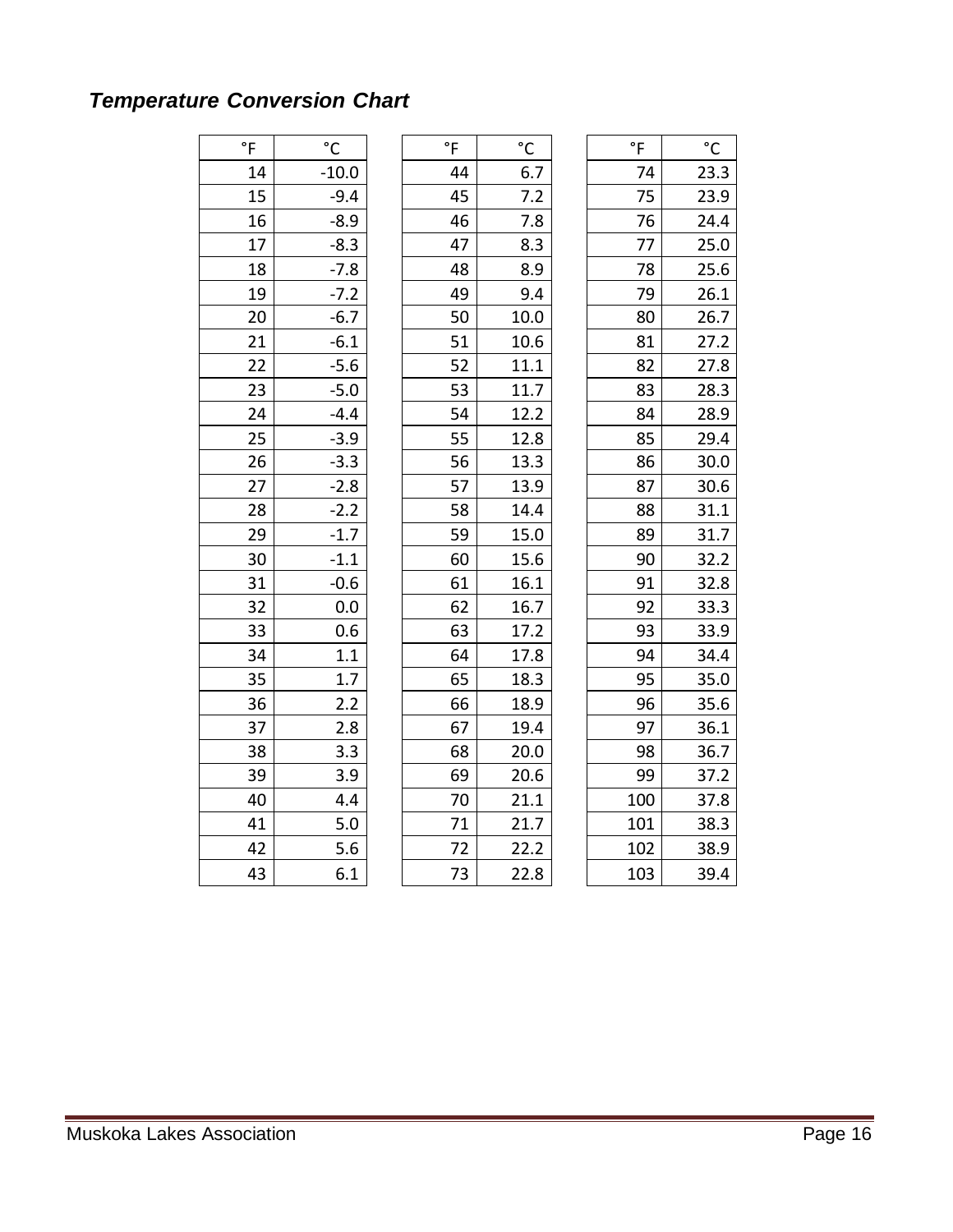### *Temperature Conversion Chart*

| $^\circ \mathsf{F}$ | $\rm ^{\circ}C$ | $\degree$ F | $\rm ^{\circ}C$ | $\overline{F}$ | $^{\circ}{\rm C}$ |
|---------------------|-----------------|-------------|-----------------|----------------|-------------------|
| 14                  | $-10.0$         | 44          | 6.7             | 74             | 23.3              |
| 15                  | $-9.4$          | 45          | 7.2             | 75             | 23.9              |
| 16                  | $-8.9$          | 46          | 7.8             | 76             | 24.4              |
| 17                  | $-8.3$          | 47          | 8.3             | 77             | 25.0              |
| 18                  | $-7.8$          | 48          | 8.9             | 78             | 25.6              |
| 19                  | $-7.2$          | 49          | 9.4             | 79             | 26.1              |
| 20                  | $-6.7$          | 50          | 10.0            | 80             | 26.7              |
| 21                  | $-6.1$          | 51          | 10.6            | 81             | 27.2              |
| 22                  | $-5.6$          | 52          | 11.1            | 82             | 27.8              |
| 23                  | $-5.0$          | 53          | 11.7            | 83             | 28.3              |
| 24                  | $-4.4$          | 54          | 12.2            | 84             | 28.9              |
| 25                  | $-3.9$          | 55          | 12.8            | 85             | 29.4              |
| 26                  | $-3.3$          | 56          | 13.3            | 86             | 30.0              |
| 27                  | $-2.8$          | 57          | 13.9            | 87             | 30.6              |
| 28                  | $-2.2$          | 58          | 14.4            | 88             | 31.1              |
| 29                  | $-1.7$          | 59          | 15.0            | 89             | 31.7              |
| 30                  | $-1.1$          | 60          | 15.6            | 90             | 32.2              |
| 31                  | $-0.6$          | 61          | 16.1            | 91             | 32.8              |
| 32                  | 0.0             | 62          | 16.7            | 92             | 33.3              |
| 33                  | 0.6             | 63          | 17.2            | 93             | 33.9              |
| 34                  | 1.1             | 64          | 17.8            | 94             | 34.4              |
| 35                  | 1.7             | 65          | 18.3            | 95             | 35.0              |
| 36                  | 2.2             | 66          | 18.9            | 96             | 35.6              |
| 37                  | 2.8             | 67          | 19.4            | 97             | 36.1              |
| 38                  | 3.3             | 68          | 20.0            | 98             | 36.7              |
| 39                  | 3.9             | 69          | 20.6            | 99             | 37.2              |
| 40                  | 4.4             | 70          | 21.1            | 100            | 37.8              |
| 41                  | 5.0             | 71          | 21.7            | 101            | 38.3              |
| 42                  | 5.6             | 72          | 22.2            | 102            | 38.9              |
| 43                  | 6.1             | 73          | 22.8            | 103            | 39.4              |
|                     |                 |             |                 |                |                   |

| $\degree$ F | °C   |
|-------------|------|
| 74          | 23.3 |
| 75          | 23.9 |
| 76          | 24.4 |
| 77          | 25.0 |
| 78          | 25.6 |
| 79          | 26.1 |
| 80          | 26.7 |
| 81          | 27.2 |
| 82          | 27.8 |
| 83          | 28.3 |
| 84          | 28.9 |
| 85          | 29.4 |
| 86          | 30.0 |
| 87          | 30.6 |
| 88          | 31.1 |
| 89          | 31.7 |
| 90          | 32.2 |
| 91          | 32.8 |
| 92          | 33.3 |
| 93          | 33.9 |
| 94          | 34.4 |
| 95          | 35.0 |
| 96          | 35.6 |
| 97          | 36.1 |
| 98          | 36.7 |
| 99          | 37.2 |
| 100         | 37.8 |
| 101         | 38.3 |
| 102         | 38.9 |
| 103         | 39.4 |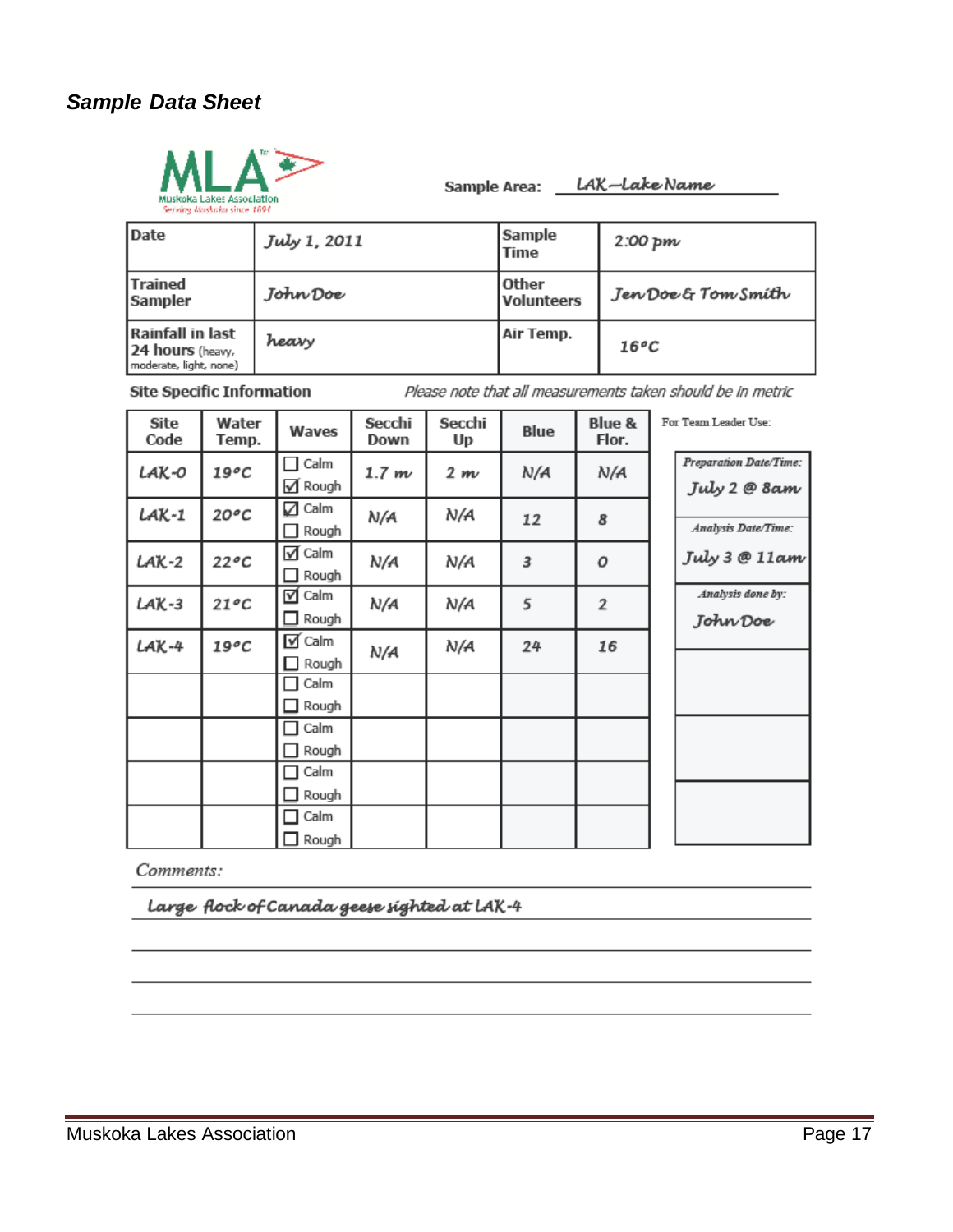#### *Sample Data Sheet*



Sample Area: LAK-Lake Name

|  |  | Serving Ruskoka since 1894 |  |
|--|--|----------------------------|--|
|--|--|----------------------------|--|

| Date                                                           | July 1, 2011 | Sample<br>Time      | 2:00~pm             |
|----------------------------------------------------------------|--------------|---------------------|---------------------|
| <b>Trained</b><br>Sampler                                      | John Doe     | Other<br>Volunteers | Jen Doe & Tom Smith |
| Rainfall in last<br>24 hours (heavy,<br>moderate, light, none) | heary        | Air Temp.           | $16^{\circ}C$       |

**Site Specific Information** 

Please note that all measurements taken should be in metric

| Site<br>Code | Water<br>Temp. | Waves                         | Secchi<br>Down | Secchi<br>Up | Blue | Blue &<br>Flor. | For Team Leader Use:                   |
|--------------|----------------|-------------------------------|----------------|--------------|------|-----------------|----------------------------------------|
| LAK-0        | 19°C           | Calm<br>√ Rough               | 1.7 m          | 2 m          | N/A  | N/A             | Preparation Date/Time:<br>July 2 @ 8am |
| LAK-1        | $20^oC$        | Calm<br>☑<br>Rough            | N/A            | N/A          | 12   | 8               | Analysis Date/Time:                    |
| $LAK-2$      | $22^oC$        | $\sqrt{ }$ Calm<br>Rough      | N/A            | N/A          | 3    | 0               | July $3 \otimes 11$ am                 |
| $LAK-3$      | $21^{\circ}C$  | $\triangledown$ Calm<br>Rough | N/A            | N/A          | 5    | 2               | Analysis done by:<br>John Doe          |
| LAK-4        | $19^oC$        | $\triangledown$ Calm<br>Rough | N/A            | N/A          | 24   | 16              |                                        |
|              |                | Calm<br>Rough                 |                |              |      |                 |                                        |
|              |                | Calm<br>Rough                 |                |              |      |                 |                                        |
|              |                | Calm<br>Rough                 |                |              |      |                 |                                        |
|              |                | Calm<br>Rough                 |                |              |      |                 |                                        |

Comments:

Large flock of Canada geese sighted at LAK-4